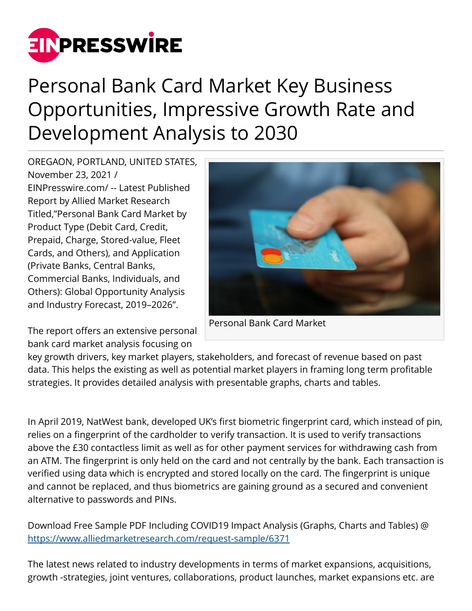

## Personal Bank Card Market Key Business Opportunities, Impressive Growth Rate and Development Analysis to 2030

OREGAON, PORTLAND, UNITED STATES, November 23, 2021 / [EINPresswire.com](http://www.einpresswire.com)/ -- Latest Published Report by Allied Market Research Titled,"Personal Bank Card Market by Product Type (Debit Card, Credit, Prepaid, Charge, Stored-value, Fleet Cards, and Others), and Application (Private Banks, Central Banks, Commercial Banks, Individuals, and Others): Global Opportunity Analysis and Industry Forecast, 2019–2026".

bank card market analysis focusing on



Personal Bank Card Market The report offers an extensive personal

key growth drivers, key market players, stakeholders, and forecast of revenue based on past data. This helps the existing as well as potential market players in framing long term profitable strategies. It provides detailed analysis with presentable graphs, charts and tables.

In April 2019, NatWest bank, developed UK's first biometric fingerprint card, which instead of pin, relies on a fingerprint of the cardholder to verify transaction. It is used to verify transactions above the £30 contactless limit as well as for other payment services for withdrawing cash from an ATM. The fingerprint is only held on the card and not centrally by the bank. Each transaction is verified using data which is encrypted and stored locally on the card. The fingerprint is unique and cannot be replaced, and thus biometrics are gaining ground as a secured and convenient alternative to passwords and PINs.

Download Free Sample PDF Including COVID19 Impact Analysis (Graphs, Charts and Tables) @ <https://www.alliedmarketresearch.com/request-sample/6371>

The latest news related to industry developments in terms of market expansions, acquisitions, growth -strategies, joint ventures, collaborations, product launches, market expansions etc. are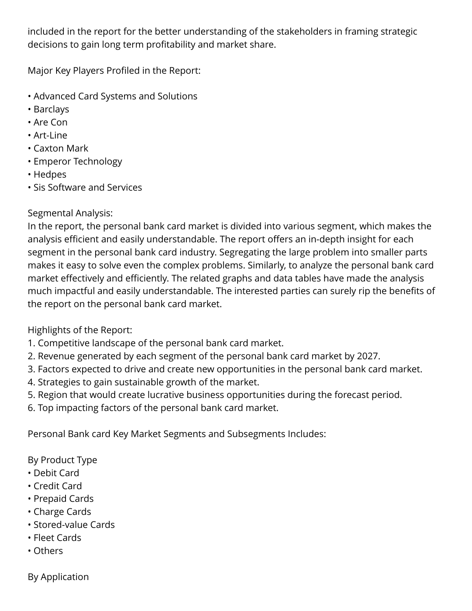included in the report for the better understanding of the stakeholders in framing strategic decisions to gain long term profitability and market share.

Major Key Players Profiled in the Report:

- Advanced Card Systems and Solutions
- Barclays
- Are Con
- Art-Line
- Caxton Mark
- Emperor Technology
- Hedpes
- Sis Software and Services

## Segmental Analysis:

In the report, the personal bank card market is divided into various segment, which makes the analysis efficient and easily understandable. The report offers an in-depth insight for each segment in the personal bank card industry. Segregating the large problem into smaller parts makes it easy to solve even the complex problems. Similarly, to analyze the personal bank card market effectively and efficiently. The related graphs and data tables have made the analysis much impactful and easily understandable. The interested parties can surely rip the benefits of the report on the personal bank card market.

Highlights of the Report:

- 1. Competitive landscape of the personal bank card market.
- 2. Revenue generated by each segment of the personal bank card market by 2027.
- 3. Factors expected to drive and create new opportunities in the personal bank card market.
- 4. Strategies to gain sustainable growth of the market.
- 5. Region that would create lucrative business opportunities during the forecast period.
- 6. Top impacting factors of the personal bank card market.

Personal Bank card Key Market Segments and Subsegments Includes:

By Product Type

- Debit Card
- Credit Card
- Prepaid Cards
- Charge Cards
- Stored-value Cards
- Fleet Cards
- Others

By Application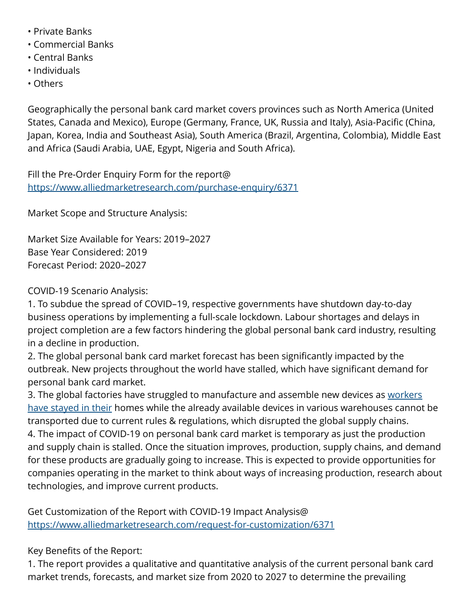- Private Banks
- Commercial Banks
- Central Banks
- Individuals
- Others

Geographically the personal bank card market covers provinces such as North America (United States, Canada and Mexico), Europe (Germany, France, UK, Russia and Italy), Asia-Pacific (China, Japan, Korea, India and Southeast Asia), South America (Brazil, Argentina, Colombia), Middle East and Africa (Saudi Arabia, UAE, Egypt, Nigeria and South Africa).

Fill the Pre-Order Enquiry Form for the report@ <https://www.alliedmarketresearch.com/purchase-enquiry/6371>

Market Scope and Structure Analysis:

Market Size Available for Years: 2019–2027 Base Year Considered: 2019 Forecast Period: 2020–2027

COVID-19 Scenario Analysis:

1. To subdue the spread of COVID–19, respective governments have shutdown day-to-day business operations by implementing a full-scale lockdown. Labour shortages and delays in project completion are a few factors hindering the global personal bank card industry, resulting in a decline in production.

2. The global personal bank card market forecast has been significantly impacted by the outbreak. New projects throughout the world have stalled, which have significant demand for personal bank card market.

3. The global factories have struggled to manufacture and assemble new devices as [workers](https://www.alliedmarketresearch.com/personal-bank-card-market-A06006) [have stayed in their](https://www.alliedmarketresearch.com/personal-bank-card-market-A06006) homes while the already available devices in various warehouses cannot be transported due to current rules & regulations, which disrupted the global supply chains. 4. The impact of COVID-19 on personal bank card market is temporary as just the production and supply chain is stalled. Once the situation improves, production, supply chains, and demand for these products are gradually going to increase. This is expected to provide opportunities for companies operating in the market to think about ways of increasing production, research about technologies, and improve current products.

Get Customization of the Report with COVID-19 Impact Analysis@ <https://www.alliedmarketresearch.com/request-for-customization/6371>

Key Benefits of the Report:

1. The report provides a qualitative and quantitative analysis of the current personal bank card market trends, forecasts, and market size from 2020 to 2027 to determine the prevailing